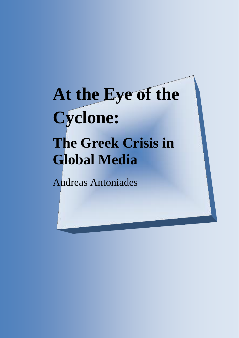# **At the Eye of the Cyclone: The Greek Crisis in Global Media**

Andreas Antoniades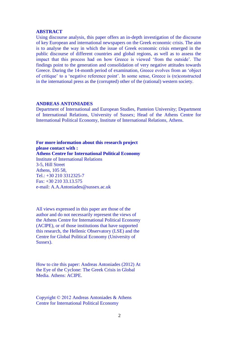#### **ABSTRACT**

Using discourse analysis, this paper offers an in-depth investigation of the discourse of key European and international newspapers on the Greek economic crisis. The aim is to analyse the way in which the issue of Greek economic crisis emerged in the public discourse of different countries and global regions, as well as to assess the impact that this process had on how Greece is viewed 'from the outside'. The findings point to the generation and consolidation of very negative attitudes towards Greece. During the 14-month period of examination, Greece evolves from an 'object of critique' to a 'negative reference point'. In some sense, Greece is (re)constructed in the international press as the (corrupted) other of the (rational) western society.

#### **ANDREAS ANTONIADES**

Department of International and European Studies, Panteion University; Department of International Relations, University of Sussex; Head of the Athens Centre for International Political Economy, Institute of International Relations, Athens.

**For more information about this research project please contact with : Athens Centre for International Political Economy**  Institute of International Relations 3-5, Hill Street Athens, 105 58, Tel.: +30 210 3312325-7 Fax: +30 210 33.13.575 e-mail: A.A.Antoniades@sussex.ac.uk

All views expressed in this paper are those of the author and do not necessarily represent the views of the Athens Centre for International Political Economy (ACIPE), or of those institutions that have supported this research, the Hellenic Observatory (LSE) and the Centre for Global Political Economy (University of Sussex).

How to cite this paper: Andreas Antoniades (2012) At the Eye of the Cyclone: The Greek Crisis in Global Media. Athens: ACIPE.

Copyright © 2012 Andreas Antoniades & Athens Centre for International Political Economy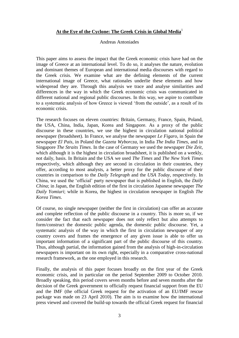# **At the Eye of the Cyclone: The Greek Crisis in Global Media**<sup>1</sup>

#### Andreas Antoniades

This paper aims to assess the impact that the Greek economic crisis have had on the image of Greece at an international level. To do so, it analyses the nature, evolution and dominant themes of European and international media discourses with regard to the Greek crisis. We examine what are the defining elements of the current international image of Greece, what rationales underlie these elements and how widespread they are. Through this analysis we trace and analyse similarities and differences in the way in which the Greek economic crisis was communicated in different national and regional public discourses. In this way, we aspire to contribute to a systematic analysis of how Greece is viewed 'from the outside', as a result of its economic crisis.

The research focuses on eleven countries: Britain, Germany, France, Spain, Poland, the USA, China, India, Japan, Korea and Singapore. As a proxy of the public discourse in these countries, we use the highest in circulation national political newspaper (broadsheet). In France, we analyse the newspaper *Le Figaro*, in Spain the newspaper *El Pais*, in Poland the *Gazeta Wyborcza*, in India *The India Times*, and in Singapore *The Straits Times*. In the case of Germany we used the newspaper *Die Zeit*, which although it is the highest in circulation broadsheet, it is published on a weekly, not daily, basis. In Britain and the USA we used *The Times* and *The New York Times* respectively, which although they are second in circulation in their countries, they offer, according to most analysts, a better proxy for the public discourse of their countries in comparison to the *Daily Telegraph* and the *USA Today*, respectively. In China, we used the 'official' party newspaper that is published in English, the *Daily China*; in Japan, the English edition of the first in circulation Japanese newspaper *The Daily Yomiuri*; while in Korea, the highest in circulation newspaper in English *The Korea Times*.

Of course, no single newspaper (neither the first in circulation) can offer an accurate and complete reflection of the public discourse in a country. This is more so, if we consider the fact that each newspaper does not only reflect but also attempts to form/construct the domestic public agenda, the domestic public discourse. Yet, a systematic analysis of the way in which the first in circulation newspaper of any country covers and frames the emergence of any given issue is able to offer us important information of a significant part of the public discourse of this country. Thus, although partial, the information gained from the analysis of high-in-circulation newspapers is important on its own right, especially in a comparative cross-national research framework, as the one employed in this research.

Finally, the analysis of this paper focuses broadly on the first year of the Greek economic crisis, and in particular on the period September 2009 to October 2010. Broadly speaking, this period covers seven months before and seven months after the decision of the Greek government to officially request financial support from the EU and the IMF (the official Greek request for the activation of an EU/IMF rescue package was made on 23 April 2010). The aim is to examine how the international press viewed and covered the build-up towards the official Greek request for financial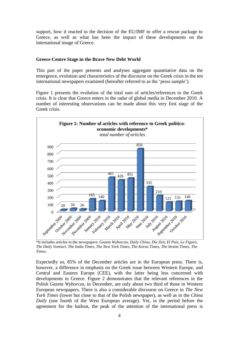support, how it reacted to the decision of the EU/IMF to offer a rescue package to Greece, as well as what has been the impact of these developments on the international image of Greece.

# **Greece Centre Stage in the Brave New Debt World**

This part of the paper presents and analyses aggregate quantitative data on the emergence, evolution and characteristics of the discourse on the Greek crisis in the ten international newspapers examined (hereafter referred to as the 'press sample').

Figure 1 presents the evolution of the total sum of articles/references to the Greek crisis. It is clear that Greece enters in the radar of global media in December 2010. A number of interesting observations can be made about this very first stage of the Greek crisis.



\*It includes articles in the newspapers: *Gazeta Wyborcza*, *Daily China*, *Die Zeit*, *El Pais*, *Le Figaro*, *The Daily Yomiuri*, *The India Times*, *The New York Times*, *The Korea Times*, *The Straits Times*, *The Times*.

Expectedly so, 85% of the December articles are in the European press. There is, however, a difference in emphasis on the Greek issue between Western Europe, and Central and Eastern Europe (CEE), with the latter being less concerned with developments in Greece. Figure 2 demonstrates that the relevant references in the Polish *Gazeta Wyborcza*, in December, are only about two third of those in Western European newspapers. There is also a considerable discourse on Greece in *The New York Times* (lower but close to that of the Polish newspaper), as well as in the *China Daily* (one fourth of the West European average). Yet, in the period before the agreement for the bailout, the peak of the attention of the international press is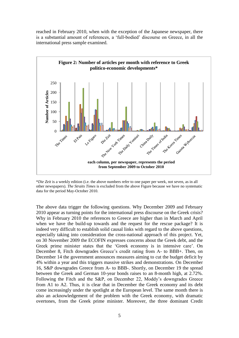reached in February 2010, when with the exception of the Japanese newspaper, there is a substantial amount of references, a 'full-bodied' discourse on Greece, in all the international press sample examined.



\**Die Zeit* is a weekly edition (i.e. the above numbers refer to one paper per week, not seven, as in all other newspapers). *The Straits Times* is excluded from the above Figure because we have no systematic data for the period May-October 2010.

The above data trigger the following questions. Why December 2009 and February 2010 appear as turning points for the international press discourse on the Greek crisis? Why in February 2010 the references to Greece are higher than in March and April when we have the build-up towards and the request for the rescue package? It is indeed very difficult to establish solid causal links with regard to the above questions, especially taking into consideration the cross-national approach of this project. Yet, on 30 November 2009 the ECOFIN expresses concerns about the Greek debt, and the Greek prime minister states that the 'Greek economy is in intensive care'. On December 8, Fitch downgrades Greece's credit rating from A- to BBB+. Then, on December 14 the government announces measures aiming to cut the budget deficit by 4% within a year and this triggers massive strikes and demonstrations. On December 16, S&P downgrades Greece from A- to BBB-. Shortly, on December 19 the spread between the Greek and German 10-year bonds raises to an 8-month high, at 2.72%. Following the Fitch and the S&P, on December 22, Moddy's downgrades Greece from A1 to A2. Thus, it is clear that in December the Greek economy and its debt come increasingly under the spotlight at the European level. The same month there is also an acknowledgement of the problem with the Greek economy, with dramatic overtones, from the Greek prime minister. Moreover, the three dominant Credit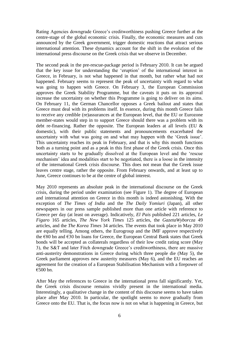Rating Agencies downgrade Greece's creditworthiness pushing Greece further at the centre-stage of the global economic crisis. Finally, the economic measures and cuts announced by the Greek government, trigger domestic reactions that attract serious international attention. These dynamics account for the shift in the evolution of the international press discourse on the Greek crisis that we observe in December.

The second peak in the pre-rescue-package period is February 2010. It can be argued that the key issue for understanding the 'eruption' of the international interest in Greece, in February, is not what happened in that month, but rather what had not happened. February seems to represent the peak of uncertainty with regard to what was going to happen with Greece. On February 3, the European Commission approves the Greek Stability Programme, but the caveats it puts on its approval increase the uncertainty on whether this Programme is going to deliver on its aims. On February 11, the German Chancellor opposes a Greek bailout and states that Greece must deal with its problems itself. In essence, during this month Greece fails to receive any credible (re)assurances at the European level, that the EU or Eurozone member-states would step in to support Greece should there was a problem with its debt re-financing. Rather the opposite. The European leaders at all levels (EU  $\&$ domestic), with their public statements and pronouncements exacerbated the uncertainty with what was going on and what may happen with the 'Greek issue'. This uncertainty reaches its peak in February, and that is why this month functions both as a turning point and as a peak in this first phase of the Greek crisis. Once this uncertainty starts to be gradually dissolved at the European level and the 'rescue mechanism' idea and modalities start to be negotiated, there is a loose in the intensity of the international Greek crisis discourse. This does not mean that the Greek issue leaves centre stage, rather the opposite. From February onwards, and at least up to June, Greece continues to be at the centre of global interest.

May 2010 represents an absolute peak in the international discourse on the Greek crisis, during the period under examination (see Figure 1). The degree of European and international attention on Greece in this month is indeed astonishing. With the exception of *The Times of India* and the *The Daily Yomiuri* (Japan), all other newspapers in our press sample published more than one article with reference to Greece per day (at least on average). Indicatively, *El Pais* published 221 articles, *Le Figaro* 165 articles, *The New York Times* 125 articles, the *GazetaWyborcza* 49 articles, and the *The Korea Times* 34 articles. The events that took place in May 2010 are equally telling. Among others, the Eurogroup and the IMF approve respectively the €80 bn and €30 bn loans for Greece, the European Central Bank states that Greek bonds will be accepted as collaterals regardless of their low credit rating score (May 3), the S&T and later Fitch downgrade Greece's creditworthiness, there are massive anti-austerity demonstrations in Greece during which three people die (May 5), the Greek parliament approves new austerity measures (May 6), and the EU reaches an agreement for the creation of a European Stabilisation Mechanism with a firepower of €500 bn.

After May the references to Greece in the international press fall significantly. Yet, the Greek crisis discourse remains vividly present in the international media. Interestingly, a qualitative change in the content of this discourse seems to have taken place after May 2010. In particular, the spotlight seems to move gradually from Greece onto the EU. That is, the focus now is not on what is happening in Greece, but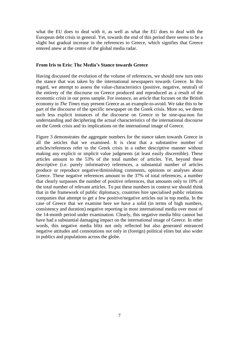what the EU does to deal with it, as well as what the EU does to deal with the European debt crisis in general. Yet, towards the end of this period there seems to be a slight but gradual increase in the references to Greece, which signifies that Greece entered anew at the centre of the global media radar.

### **From Iris to Eris: The Media's Stance towards Greece**

Having discussed the evolution of the volume of references, we should now turn onto the stance that was taken by the international newspapers towards Greece. In this regard, we attempt to assess the value-characteristics (positive, negative, neutral) of the entirety of the discourse on Greece produced and reproduced as a result of the economic crisis in our press sample. For instance, an article that focuses on the British economy in *The Times* may present Greece as an example-to-avoid. We take this to be part of the discourse of the specific newspaper on the Greek crisis. More so, we deem such less explicit instances of the discourse on Greece to be sine-qua-non for understanding and deciphering the actual characteristics of the international discourse on the Greek crisis and its implications on the international image of Greece.

Figure 3 demonstrates the aggregate numbers for the stance taken towards Greece in all the articles that we examined. It is clear that a substantive number of articles/references refer to the Greek crisis in a rather descriptive manner without making any explicit or implicit value judgments (at least easily discernible). These articles amount to the 53% of the total number of articles. Yet, beyond these descriptive (i.e. purely informative) references, a substantial number of articles produce or reproduce negative/diminishing comments, opinions or analyses about Greece. These negative references amount to the 37% of total references, a number that clearly surpasses the number of positive references, that amounts only to 10% of the total number of relevant articles. To put these numbers in context we should think that in the framework of public diplomacy, countries hire specialised public relations companies that attempt to get a few positive/negative articles out in top media. In the case of Greece that we examine here we have a solid (in terms of high numbers, consistency and duration) negative reporting in most international media over most of the 14-month period under examination. Clearly, this negative media blitz cannot but have had a substantial damaging impact on the international image of Greece. In other words, this negative media blitz not only reflected but also generated entranced negative attitudes and connotations not only in (foreign) political elites but also wider in publics and populations across the globe.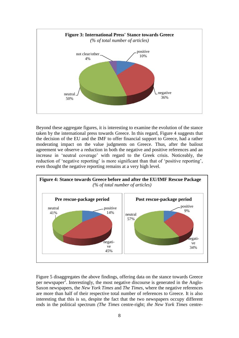

Beyond these aggregate figures, it is interesting to examine the evolution of the stance taken by the international press towards Greece. In this regard, Figure 4 suggests that the decision of the EU and the IMF to offer financial support to Greece, had a rather moderating impact on the value judgments on Greece. Thus, after the bailout agreement we observe a reduction in both the negative and positive references and an increase in 'neutral coverage' with regard to the Greek crisis. Noticeably, the reduction of 'negative reporting' is more significant than that of 'positive reporting', even thought the negative reporting remains at a very high level.



Figure 5 disaggregates the above findings, offering data on the stance towards Greece per newspaper<sup>2</sup>. Interestingly, the most negative discourse is generated in the Anglo-Saxon newspapers, the *New York Times* and *The Times*, where the negative references are more than half of their respective total number of references to Greece. It is also interesting that this is so, despite the fact that the two newspapers occupy different ends in the political spectrum *(The Times* centre-right; *the New York Times* centre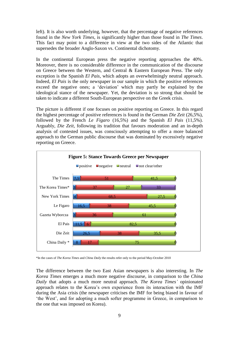left). It is also worth underlying, however, that the percentage of negative references found in the *New York Times*, is significantly higher than those found in *The Times*. This fact may point to a difference in view at the two sides of the Atlantic that supersedes the broader Anglo-Saxon vs. Continental dichotomy.

In the continental European press the negative reporting approaches the 40%. Moreover, there is no considerable difference in the communication of the discourse on Greece between the Western, and Central & Eastern European Press. The only exception is the Spanish *El Pais*, which adopts an overwhelmingly neutral approach. Indeed, *El Pais* is the only newspaper in our sample in which the positive references exceed the negative ones; a 'deviation' which may partly be explained by the ideological stance of the newspaper. Yet, the deviation is so strong that should be taken to indicate a different South-European perspective on the Greek crisis.

The picture is different if one focuses on positive reporting on Greece. In this regard the highest percentage of positive references is found in the German *Die Zeit* (26,5%), followed by the French *Le Figaro* (16,5%) and the Spanish *El Pais* (11,5%). Arguably, *Die Zeit*, following its tradition that favours moderation and an in-depth analysis of contested issues, was consciously attempting to offer a more balanced approach to the German public discourse that was dominated by excessively negative reporting on Greece.



\*In the cases of *The Korea Times* and *China Daily* the results refer only to the period May-October 2010

The difference between the two East Asian newspapers is also interesting. In *The Korea Times* emerges a much more negative discourse, in comparison to the *China Daily* that adopts a much more neutral approach. *The Korea Times'* opinionated approach relates to the Korea's own experience from its interaction with the IMF during the Asia crisis (the newspaper criticises the IMF for being biased in favour of 'the West', and for adopting a much softer programme in Greece, in comparison to the one that was imposed on Korea).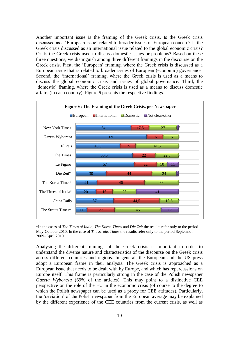Another important issue is the framing of the Greek crisis. Is the Greek crisis discussed as a 'European issue' related to broader issues of European concern? Is the Greek crisis discussed as an international issue related to the global economic crisis? Or, is the Greek crisis used to discuss domestic issues or problems? Based on these three questions, we distinguish among three different framings in the discourse on the Greek crisis. First, the 'European' framing, where the Greek crisis is discussed as a European issue that is related to broader issues of European (economic) governance. Second, the 'international' framing, where the Greek crisis is used as a means to discuss the global economic crisis and issues of global governance. Third, the 'domestic' framing, where the Greek crisis is used as a means to discuss domestic affairs (in each country). Figure 6 presents the respective findings.



\*In the cases of *The Times of India*, *The Korea Times* and *Die Zeit* the results refer only to the period May-October 2010. In the case of *The Straits Times* the results refer only to the period September 2009–April 2010.

Analysing the different framings of the Greek crisis is important in order to understand the diverse nature and characteristics of the discourse on the Greek crisis across different countries and regions. In general, the European and the US press adopt a European frame in their analysis. The Greek crisis is approached as a European issue that needs to be dealt with by Europe, and which has repercussions on Europe itself. This frame is particularly strong in the case of the Polish newspaper *Gazeta Wyborcza* (69% of the articles). This may point to a distinctive CEE perspective on the role of the EU in the economic crisis (of course to the degree to which the Polish newspaper can be used as a proxy for CEE attitudes). Particularly, the 'deviation' of the Polish newspaper from the European average may be explained by the different experience of the CEE countries from the current crisis, as well as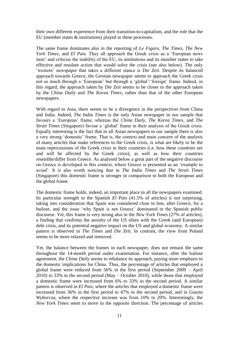their own different experience from their transition-to-capitalism, and the role that the EU (member states & institutions) played in these processes.

The same frame dominates also in the reporting of *Le Figaro*, *The Times*, *The New York Times*, and *El Pais.* They all approach the Greek crisis as a 'European news item' and criticise the inability of the EU, its institutions and its member states to take effective and resolute action that would solve the crisis (see also below). The only 'western' newspaper that takes a different stance is *Die Zeit*. Despite its balanced approach towards Greece, the German newspaper seems to approach the Greek crisis not so much through a 'European' but through a 'global'/'foreign' frame. Indeed, in this regard, the approach taken by *Die Zeit* seems to be closer to the approach taken by the *China Daily* and *The Korea Times*, rather than that of the other European newspapers.

With regard to Asia, there seems to be a divergence in the perspectives from China and India. Indeed, *The India Times* is the only Asian newspaper in our sample that favours a 'European' frame, whereas the *China Daily*, *The Korea Times*, and *The Strait Times* (Singapore) favour a 'global' frame in their analysis of the Greek crisis. Equally interesting is the fact that in all Asian newspapers in our sample there is also a very strong 'domestic' frame. That is, the context and main concern of the analysis of many articles that make references to the Greek crisis, is what are likely to be the main repercussions of the Greek crisis in their countries (i.e. how these countries are and will be affected by the Greek crisis), as well as how their countries resemble/differ from Greece. As analysed below a great part of the negative discourse on Greece is developed in this context, where Greece is presented as an 'example to avoid'. It is also worth noticing that in *The India Times* and *The Strait Times* (Singapore) this domestic frame is stronger in comparison to both the European and the global frame.

The domestic frame holds, indeed, an important place in all the newspapers examined. Its particular strength in the Spanish *El Pais* (41.5% of articles) is not surprising, taking into consideration that Spain was considered close in line, after Greece, for a bailout, and the issue 'why Spain is not Greece' dominated in the Spanish public discourse. Yet, this frame is very strong also in the *New York Times* (27% of articles), a finding that confirms the anxiety of the US elites with the Greek (and European) debt crisis, and its potential negative impact on the US and global economy. A similar pattern is observed in *The Times* and *Die Zeit*. In contrast, the view from Poland seems to be more relaxed and removed.

Yet, the balance between the frames in each newspaper, does not remain the same throughout the 14-month period under examination. For instance, after the bailout agreement, the *China Daily* seems to rebalance its approach, paying more emphasis to the domestic implications for China. Thus, the percentage of articles that employed a global frame were reduced from 56% in the first period (September 2009 – April  $2010$ ) to 33% in the second period (May – October 2010), while those that employed a domestic frame were increased from 6% to 33% in the second period. A similar pattern is observed in *El Pais,* where the articles that employed a domestic frame were increased from 36% in the first period to 47% in the second period, and in *Gazeta Wyborcza*, where the respective increase was from 10% to 20%. Interestingly, the *New York Times* seem to move in the opposite direction. The percentage of articles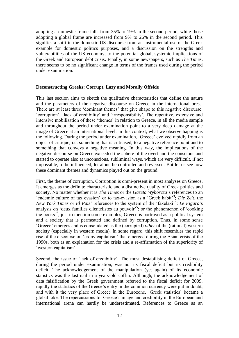adopting a domestic frame falls from 35% to 19% in the second period, while those adopting a global frame are increased from 9% to 26% in the second period. This signifies a shift in the domestic US discourse from an instrumental use of the Greek example for domestic politics purposes, and a discussion on the strengths and vulnerabilities of the US economy, to the potential global, systemic implications of the Greek and European debt crisis. Finally, in some newspapers, such as *The Times*, there seems to be no significant change in terms of the frames used during the period under examination.

# **Deconstructing Greeks: Corrupt, Lazy and Morally Offside**

This last section aims to sketch the qualitative characteristics that define the nature and the parameters of the negative discourse on Greece in the international press. There are at least three 'dominant themes' that give shape to this negative discourse: 'corruption', 'lack of credibility' and 'irresponsibility'. The repetitive, extensive and intensive mobilisation of these 'themes' in relation to Greece, in all the media sample and throughout the period under examination point to a very deep damage at the image of Greece at an international level. In this context, what we observe happing is the following. During the period under examination, 'Greece' evolved rapidly from an object of critique, i.e. something that is criticised, to a negative reference point and to something that conveys a negative meaning. In this way, the implications of the negative discourse on Greece exceeded the sphere of the overt and the conscious and started to operate also at unconscious, subliminal ways, which are very difficult, if not impossible, to be influenced, let alone be controlled and reversed. But let us see how these dominant themes and dynamics played out on the ground.

First, the theme of corruption. Corruption is omni-present in most analyses on Greece. It emerges as the definite characteristic and a distinctive quality of Greek politics and society. No matter whether it is *The Times* or the *Gazeta Wyborcza*'s references to an 'endemic culture of tax evasion' or to tax-evasion as a 'Greek habit'<sup>3</sup>; *Die Zeit*, the *New York Times* or *El Pais*' references to the system of the 'fakelaki'<sup>4</sup>; *Le Figaro*'s analysis on 'deux familles clientélistes au pouvoir<sup>5</sup>; or the phenomenon of 'cooking the books'<sup>6</sup> , just to mention some examples, Greece is portrayed as a political system and a society that is permeated and defined by corruption. Thus, in some sense 'Greece' emerges and is consolidated as the (corrupted) *other* of the (rational) western society (especially in western media). In some regard, this shift resembles the rapid rise of the discourse on 'crony capitalism' that emerged during the Asian crisis of the 1990s, both as an explanation for the crisis and a re-affirmation of the superiority of 'western capitalism'.

Second, the issue of 'lack of credibility'. The most destabilising deficit of Greece, during the period under examination, was not its fiscal deficit but its credibility deficit. The acknowledgement of the manipulation (yet again) of its economic statistics was the last nail in a years-old coffin. Although, the acknowledgement of data falsification by the Greek government referred to the fiscal deficit for 2009, rapidly the statistics of the Greece's entry in the common currency were put in doubt, and with it the very place of Greece in the Eurozone. 'Greek statistics' became a global joke. The repercussions for Greece's image and credibility in the European and international arena can hardly be underestimated. References to Greece as an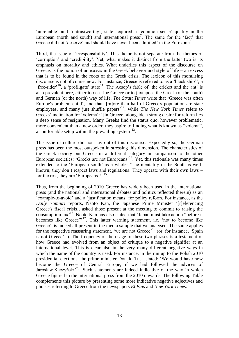'unreliable' and 'untrustworthy', state acquired a 'common sense' quality in the European (north and south) and international press<sup>7</sup>. The same for the 'fact' that Greece did not 'deserve' and should have never been admitted' in the Eurozone<sup>8</sup>.

Third, the issue of 'irresponsibility'. This theme is not separate from the themes of 'corruption' and 'credibility'. Yet, what makes it distinct from the latter two is its emphasis on morality and ethics. What underlies this aspect of the discourse on Greece, is the notion of an *excess* in the Greek behavior and style of life – an excess that is to be found in the roots of the Greek crisis. The lexicon of this moralising discourse is not of course new. For instance, Greece is referred to as a 'black ship'<sup>9</sup>, a 'free-rider'<sup>10</sup>, a 'profligate' state<sup>11</sup>. The Aesop's fable of 'the cricket and the ant' is also prevalent here, either to describe Greece or to juxtapose the Greek (or the south) and German (or the north) way of life. *The Strait Times* write that 'Greece was often Europe's problem child', and that '[m]ore than half of Greece's population are state employees, and many just shuffle papers<sup>12</sup>, while *The New York Times* refers to Greeks' inclination for 'volema': '[In Greece] alongside a strong desire for reform lies a deep sense of resignation. Many Greeks find the status quo, however problematic, more convenient than a new order; they aspire to finding what is known as "volema". a comfortable setup within the prevailing system<sup>'13</sup>.

The issue of culture did not stay out of this discourse. Expectedly so, the German press has been the most outspoken in stressing this dimension. The characteristics of the Greek society put Greece in a different category in comparison to the other European societies: 'Greeks are not Europeans'<sup>14</sup>. Yet, this rationale was many times extended to the 'European south' as a whole: 'The mentality in the South is wellknown; they don't respect laws and regulations! They operate with their own laws – for the rest, they are 'Europeans'!' <sup>15</sup>.

Thus, from the beginning of 2010 Greece has widely been used in the international press (and the national and international debates and politics reflected therein) as an 'example-to-avoid' and a 'justification means' for policy reform. For instance, as the *Daily Yomiuri* reports, Naoto Kan, the Japanese Prime Minister '[r]eferencing Greece's fiscal crisis…asked those present at the meeting to commit to raising the consumption tax'<sup>16</sup>. Naoto Kan has also stated that 'Japan must take action "before it becomes like Greece"<sup>17</sup>. This latter warning statement, i.e. 'not to become like Greece', is indeed all present in the media sample that we analysed. The same applies for the respective reassuring statement, 'we are not Greece'<sup>18</sup> (or, for instance, 'Spain is not Greece'<sup>19</sup>). The frequency of the usage of these two phrases is a testament of how Greece had evolved from an object of critique to a negative signifier at an international level. This is clear also in the very many different negative ways in which the name of the country is used. For instance, in the run up to the Polish 2010 presidential elections, the prime-minister Donald Tusk stated: 'We would have now become the Greece of Central Europe, if we had followed the advices of Jarosław Kaczyński<sup>, 20</sup>. Such statements are indeed indicative of the way in which Greece figured in the international press from the 2010 onwards. The following Table complements this picture by presenting some more indicative negative adjectives and phrases referring to Greece from the newspapers *El Pais* and *New York Times.*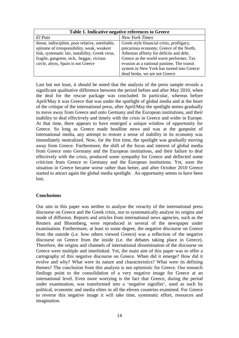| Table 1. Indicative negative references to Greece |                                            |
|---------------------------------------------------|--------------------------------------------|
| El Pais                                           | <b>New York Times</b>                      |
| threat, indiscipline, poor relative, unreliable,  | Greek style financial crisis, profligacy,  |
| epitome of irresponsibility, weak, weakest        | precarious economy, Greece of the North,   |
| link, systematic lair, instability, Greek virus,  | Athenian affinity for deficits and debt,   |
| fragile, gangrene, sick, beggar, vicious          | Greece as the world worst performer, Tax   |
| circle, abyss, Spain is not Greece                | evasion as a national pastime, The transit |
|                                                   | system in New York has turned into Greece: |
|                                                   | dead broke, we are not Greece              |

Last but not least, it should be noted that the analysis of the press sample reveals a significant qualitative difference between the period before and after May 2010, when the deal for the rescue package was concluded. In particular, whereas before April/May it was Greece that was under the spotlight of global media and at the heart of the critique of the international press, after April/May the spotlight seems gradually to move away from Greece and onto Germany and the European institutions, and their inability to deal effectively and timely with the crisis in Greece and wider in Europe. At that time, there appears to have emerged a unique window of opportunity for Greece. So long as Greece made headline news and was at the gunpoint of international media, any attempt to restore a sense of stability in its economy was immediately neutralized. Now, for the first time, the spotlight was gradually moving away from Greece. Furthermore, the shift of the focus and interest of global media from Greece onto Germany and the European institutions, and their failure to deal effectively with the crisis, produced some sympathy for Greece and deflected some criticism from Greece to Germany and the European institutions. Yet, soon the situation in Greece became worse rather than better, and after October 2010 Greece started to attract again the global media spotlight. An opportunity seems to have been lost.

# **Conclusions**

Our aim in this paper was neither to analyse the veracity of the international press discourse on Greece and the Greek crisis, nor to systematically analyse its origins and mode of diffusion. Reports and articles from international news agencies, such as the Reuters and Bloomberg, were reproduced in several of the newspaper under examination. Furthermore, at least to some degree, the negative discourse on Greece from the outside (i.e. how others viewed Greece) was a reflection of the negative discourse on Greece from the inside (i.e. the debates taking place in Greece). Therefore, the origins and channels of international dissemination of the discourse on Greece were multiple and interlinked. Yet, the main aim of this paper was to offer a cartography of this negative discourse on Greece. When did it emerge? How did it evolve and why? What were its nature and characteristics? What were its defining themes? The conclusion from this analysis is not optimistic for Greece. Our research findings point to the consolidation of a very negative image for Greece at an international level. Even more worrying is the fact that Greece, during the period under examination, was transformed into a 'negative signifier', used as such by political, economic and media elites in all the eleven countries examined. For Greece to reverse this negative image it will take time, systematic effort, resources and imagination.